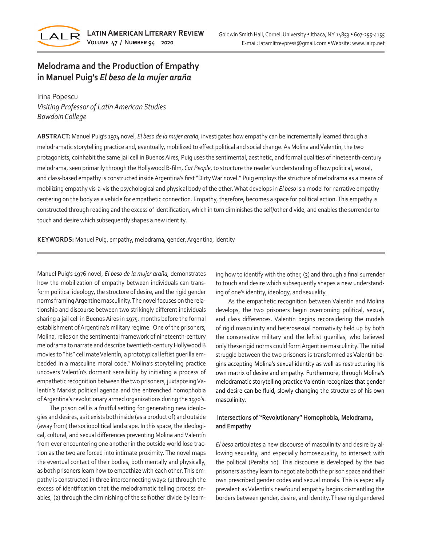

# **Melodrama and the Production of Empathy in Manuel Puig's** *El beso de la mujer araña*

Irina Popescu *Visiting Professor of Latin American Studies Bowdoin College*

**ABSTRACT:** Manuel Puig's 1974 novel, *El beso de la mujer araña*, investigates how empathy can be incrementally learned through a melodramatic storytelling practice and, eventually, mobilized to effect political and social change. As Molina and Valentín, the two protagonists, coinhabit the same jail cell in Buenos Aires, Puig uses the sentimental, aesthetic, and formal qualities of nineteenth-century melodrama, seen primarily through the Hollywood B-film, *Cat People*, to structure the reader's understanding of how political, sexual, and class-based empathy is constructed inside Argentina's first "Dirty War novel." Puig employs the structure of melodrama as a means of mobilizing empathy vis-à-vis the psychological and physical body of the other. What develops in *El beso* is a model for narrative empathy centering on the body as a vehicle for empathetic connection. Empathy, therefore, becomes a space for political action. This empathy is constructed through reading and the excess of identification, which in turn diminishes the self/other divide, and enables the surrender to touch and desire which subsequently shapes a new identity.

**KEYWORDS:** Manuel Puig, empathy, melodrama, gender, Argentina, identity

Manuel Puig's 1976 novel, *El beso de la mujer araña,* demonstrates how the mobilization of empathy between individuals can transform political ideology, the structure of desire, and the rigid gender norms framing Argentine masculinity. The novel focuses on the relationship and discourse between two strikingly different individuals sharing a jail cell in Buenos Aires in 1975, months before the formal establishment of Argentina's military regime. One of the prisoners, Molina, relies on the sentimental framework of nineteenth-century melodrama to narrate and describe twentieth-century Hollywood B movies to "his" cell mate Valentín, a prototypical leftist guerilla embedded in a masculine moral code.<sup>1</sup> Molina's storytelling practice uncovers Valentín's dormant sensibility by initiating a process of empathetic recognition between the two prisoners, juxtaposing Valentín's Marxist political agenda and the entrenched homophobia of Argentina's revolutionary armed organizations during the 1970's.

The prison cell is a fruitful setting for generating new ideologies and desires, as it exists both inside (as a product of) and outside (away from) the sociopolitical landscape. In this space, the ideological, cultural, and sexual differences preventing Molina and Valentín from ever encountering one another in the outside world lose traction as the two are forced into intimate proximity. The novel maps the eventual contact of their bodies, both mentally and physically, as both prisoners learn how to empathize with each other. This empathy is constructed in three interconnecting ways: (1) through the excess of identification that the melodramatic telling process enables, (2) through the diminishing of the self/other divide by learning how to identify with the other, (3) and through a final surrender to touch and desire which subsequently shapes a new understanding of one's identity, ideology, and sexuality.

As the empathetic recognition between Valentín and Molina develops, the two prisoners begin overcoming political, sexual, and class differences. Valentín begins reconsidering the models of rigid masculinity and heterosexual normativity held up by both the conservative military and the leftist guerillas, who believed only these rigid norms could form Argentine masculinity. The initial struggle between the two prisoners is transformed as Valentín begins accepting Molina's sexual identity as well as restructuring his own matrix of desire and empathy. Furthermore, through Molina's melodramatic storytelling practice Valent**ín** recognizes that gender and desire can be fluid, slowly changing the structures of his own masculinity.

# **Intersections of "Revolutionary" Homophobia, Melodrama, and Empathy**

*El beso* articulates a new discourse of masculinity and desire by allowing sexuality, and especially homosexuality, to intersect with the political (Peralta 10). This discourse is developed by the two prisoners as they learn to negotiate both the prison space and their own prescribed gender codes and sexual morals. This is especially prevalent as Valentín's newfound empathy begins dismantling the borders between gender, desire, and identity. These rigid gendered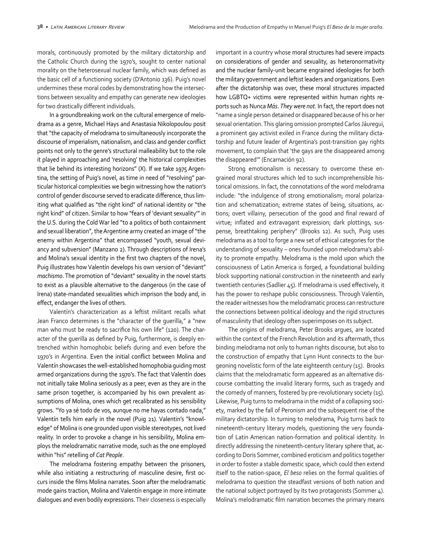morals, continuously promoted by the military dictatorship and the Catholic Church during the 1970's, sought to center national morality on the heterosexual nuclear family, which was defined as the basic cell of a functioning society (D'Antonio 136). Puig's novel undermines these moral codes by demonstrating how the intersections between sexuality and empathy can generate new ideologies for two drastically different individuals.

In a groundbreaking work on the cultural emergence of melodrama as a genre, Michael Hays and Anastasia Nikolopoulou posit that "the capacity of melodrama to simultaneously incorporate the discourse of imperialism, nationalism, and class and gender conflict points not only to the genre's structural malleability but to the role it played in approaching and 'resolving' the historical complexities that lie behind its interesting horizons" (X). If we take 1975 Argentina, the setting of Puig's novel, as time in need of "resolving" particular historical complexities we begin witnessing how the nation's control of gender discourse served to eradicate difference, thus limiting what qualified as "the right kind" of national identity or "the right kind" of citizen. Similar to how "fears of 'deviant sexuality'" in the U.S. during the Cold War led "to a politics of both containment and sexual liberation", the Argentine army created an image of "the enemy within Argentina" that encompassed "youth, sexual deviancy and subversion" (Manzano 2). Through descriptions of Irena's and Molina's sexual identity in the first two chapters of the novel, Puig illustrates how Valentín develops his own version of "deviant" *machismo*. The promotion of "deviant" sexuality in the novel starts to exist as a plausible alternative to the dangerous (in the case of Irena) state-mandated sexualities which imprison the body and, in effect, endanger the lives of others.

Valentín's characterization as a leftist militant recalls what Jean Franco determines is the "character of the guerilla," a "new man who must be ready to sacrifice his own life" (120). The character of the guerilla as defined by Puig, furthermore, is deeply entrenched within homophobic beliefs during and even before the 1970's in Argentina. Even the initial conflict between Molina and Valentín showcases the well-established homophobia guiding most armed organizations during the 1970's. The fact that Valentín does not initially take Molina seriously as a peer, even as they are in the same prison together, is accompanied by his own prevalent assumptions of Molina, ones which get recalibrated as his sensibility grows. "Yo ya sé todo de vos, aunque no me hayas contado nada," Valentín tells him early in the novel (Puig 21). Valentin's "knowledge" of Molina is one grounded upon visible stereotypes, not lived reality. In order to provoke a change in his sensibility, Molina employs the melodramatic narrative mode, such as the one employed within "his" retelling of *Cat People*.

The melodrama fostering empathy between the prisoners, while also initiating a restructuring of masculine desire, first occurs inside the films Molina narrates. Soon after the melodramatic mode gains traction, Molina and Valentín engage in more intimate dialogues and even bodily expressions. Their closeness is especially

important in a country whose moral structures had severe impacts on considerations of gender and sexuality, as heteronormativity and the nuclear family-unit became engrained ideologies for both the military government and leftist leaders and organizations. Even after the dictatorship was over, these moral structures impacted how LGBTQ+ victims were represented within human rights reports such as Nunca *Más*. *They were not.* In fact, the report does not "name a single person detained or disappeared because of his or her sexual orientation. This glaring omission prompted Carlos Jáuregui, a prominent gay activist exiled in France during the military dictatorship and future leader of Argentina's post-transition gay rights movement, to complain that 'the gays are the disappeared among the disappeared'" (Encarnación 92).

Strong emotionalism is necessary to overcome these engrained moral structures which led to such incomprehensible historical omissions. In fact, the connotations of the word melodrama include: "the indulgence of strong emotionalism; moral polarization and schematization; extreme states of being, situations, actions; overt villainy, persecution of the good and final reward of virtue; inflated and extravagant expression; dark plottings, suspense, breathtaking periphery" (Brooks 12). As such, Puig uses melodrama as a tool to forge a new set of ethical categories for the understanding of sexuality – ones founded upon melodrama's ability to promote empathy. Melodrama is the mold upon which the consciousness of Latin America is forged, a foundational building block supporting national construction in the nineteenth and early twentieth centuries (Sadlier 45). If melodrama is used effectively, it has the power to reshape public consciousness. Through Valentín, the reader witnesses how the melodramatic process can restructure the connections between political ideology and the rigid structures of masculinity that ideology often superimposes on its subject.

The origins of melodrama, Peter Brooks argues, are located within the context of the French Revolution and its aftermath, thus binding melodrama not only to human rights discourse, but also to the construction of empathy that Lynn Hunt connects to the burgeoning novelistic form of the late eighteenth century (15). Brooks claims that the melodramatic form appeared as an alternative discourse combatting the invalid literary forms, such as tragedy and the comedy of manners, fostered by pre-revolutionary society (15). Likewise, Puig turns to melodrama in the midst of a collapsing society, marked by the fall of Peronism and the subsequent rise of the military dictatorship. In turning to melodrama, Puig turns back to nineteenth-century literary models, questioning the very foundation of Latin American nation-formation and political identity. In directly addressing the nineteenth-century literary sphere that, according to Doris Sommer, combined eroticism and politics together in order to foster a stable domestic space, which could then extend itself to the nation-space, *El beso* relies on the formal qualities of melodrama to question the steadfast versions of both nation and the national subject portrayed by its two protagonists (Sommer 4). Molina's melodramatic film narration becomes the primary means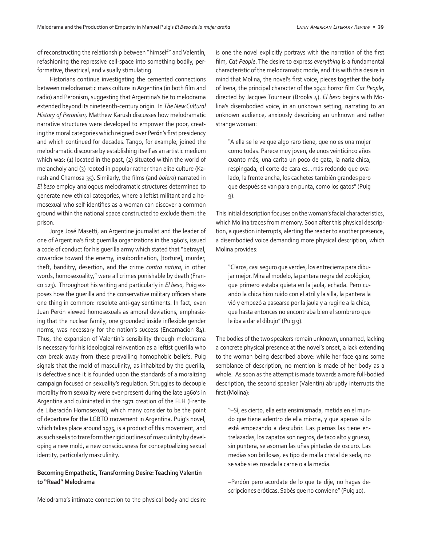of reconstructing the relationship between "himself" and Valent**í**n, refashioning the repressive cell-space into something bodily, performative, theatrical, and visually stimulating.

Historians continue investigating the cemented connections between melodramatic mass culture in Argentina (in both film and radio) and Peronism, suggesting that Argentina's tie to melodrama extended beyond its nineteenth-century origin. In *The New Cultural History of Peronism,* Matthew Karush discusses how melodramatic narrative structures were developed to empower the poor, creating the moral categories which reigned over Per**ó**n's first presidency and which continued for decades. Tango, for example, joined the melodramatic discourse by establishing itself as an artistic medium which was: (1) located in the past, (2) situated within the world of melancholy and (3) rooted in popular rather than elite culture (Karush and Chamosa 35). Similarly, the films (and *bolero*) narrated in *El beso* employ analogous melodramatic structures determined to generate new ethical categories, where a leftist militant and a homosexual who self-identifies as a woman can discover a common ground within the national space constructed to exclude them: the prison.

Jorge José Masetti, an Argentine journalist and the leader of one of Argentina's first guerrilla organizations in the 1960's, issued a code of conduct for his guerilla army which stated that "betrayal, cowardice toward the enemy, insubordination, [torture], murder, theft, banditry, desertion, and the crime *contra natura*, in other words, homosexuality," were all crimes punishable by death (Franco 123). Throughout his writing and particularly in *El beso*, Puig exposes how the guerilla and the conservative military officers share one thing in common: resolute anti-gay sentiments. In fact, even Juan Perón viewed homosexuals as amoral deviations, emphasizing that the nuclear family, one grounded inside inflexible gender norms, was necessary for the nation's success (Encarnación 84). Thus, the expansion of Valentín's sensibility through melodrama is necessary for his ideological reinvention as a leftist guerilla who *can* break away from these prevailing homophobic beliefs. Puig signals that the mold of masculinity, as inhabited by the guerilla, is defective since it is founded upon the standards of a moralizing campaign focused on sexuality's regulation. Struggles to decouple morality from sexuality were ever-present during the late 1960's in Argentina and culminated in the 1971 creation of the FLH (Frente de Liberación Homosexual), which many consider to be the point of departure for the LGBTQ movement in Argentina. Puig's novel, which takes place around 1975, is a product of this movement, and as such seeks to transform the rigid outlines of masculinity by developing a new mold, a new consciousness for conceptualizing sexual identity, particularly masculinity.

## **Becoming Empathetic, Transforming Desire: Teaching Valentín to "Read" Melodrama**

Melodrama's intimate connection to the physical body and desire

is one the novel explicitly portrays with the narration of the first film, *Cat People*. The desire to express *everything* is a fundamental characteristic of the melodramatic mode, and it is with this desire in mind that Molina, the novel's first voice, pieces together the body of Irena, the principal character of the 1942 horror film *Cat People*, directed by Jacques Tourneur (Brooks 4). *El beso* begins with Molina's disembodied voice, in an unknown setting, narrating to an unknown audience, anxiously describing an unknown and rather strange woman:

"A ella se le ve que algo raro tiene, que no es una mujer como todas. Parece muy joven, de unos veinticinco años cuanto más, una carita un poco de gata, la nariz chica, respingada, el corte de cara es…más redondo que ovalado, la frente ancha, los cachetes también grandes pero que después se van para en punta, como los gatos" (Puig 9).

This initial description focuses on the woman's facial characteristics, which Molina traces from memory. Soon after this physical description, a question interrupts, alerting the reader to another presence, a disembodied voice demanding more physical description, which Molina provides:

"Claros, casi seguro que verdes, los entrecierra para dibujar mejor. Mira al modelo, la pantera negra del zoológico, que primero estaba quieta en la jaula, echada. Pero cuando la chica hizo ruido con el atril y la silla, la pantera la vió y empezó a pasearse por la jaula y a rugirle a la chica, que hasta entonces no encontraba bien el sombrero que le iba a dar el dibujo" (Puig 9).

The bodies of the two speakers remain unknown, unnamed, lacking a concrete physical presence at the novel's onset, a lack extending to the woman being described above: while her face gains some semblance of description, no mention is made of her body as a whole. As soon as the attempt is made towards a more full-bodied description, the second speaker (Valentín) abruptly interrupts the first (Molina):

"–Sí, es cierto, ella esta ensimismada, metida en el mundo que tiene adentro de ella misma, y que apenas si lo está empezando a descubrir. Las piernas las tiene entrelazadas, los zapatos son negros, de taco alto y grueso, sin puntera, se asoman las uñas pintadas de oscuro. Las medias son brillosas, es tipo de malla cristal de seda, no se sabe si es rosada la carne o a la media.

–Perdón pero acordate de lo que te dije, no hagas descripciones eróticas. Sabés que no conviene" (Puig 10).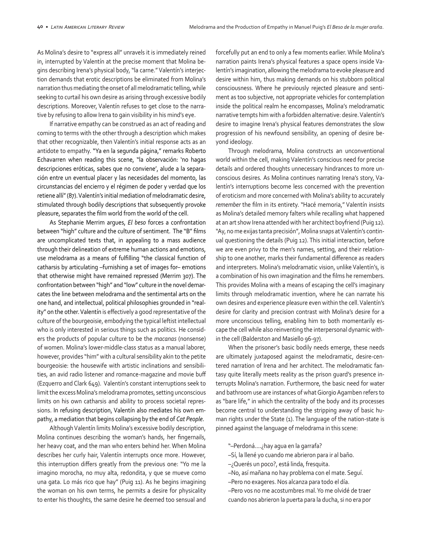As Molina's desire to "express all" unravels it is immediately reined in, interrupted by Valentín at the precise moment that Molina begins describing Irena's physical body, "la carne." Valentín's interjection demands that erotic descriptions be eliminated from Molina's narration thus mediating the onset of all melodramatic telling, while seeking to curtail his own desire as arising through excessive bodily descriptions. Moreover, Valentín refuses to get close to the narrative by refusing to allow Irena to gain visibility in his mind's eye.

If narrative empathy can be construed as an act of reading and coming to terms with the other through a description which makes that other recognizable, then Valentín's initial response acts as an antidote to empathy. "Ya en la segunda página," remarks Roberto Echavarren when reading this scene, "la observación: 'no hagas descripciones eróticas, sabes que no conviene', alude a la separación entre un eventual placer y las necesidades del momento, las circunstancias del encierro y el régimen de poder y verdad que los retiene allí" (87). Valentín's initial mediation of melodramatic desire, stimulated through bodily descriptions that subsequently provoke pleasure, separates the film world from the world of the cell.

As Stephanie Merrim argues, *El beso* forces a confrontation between "high" culture and the culture of sentiment. The "B" films are uncomplicated texts that, in appealing to a mass audience through their delineation of extreme human actions and emotions, use melodrama as a means of fulfilling "the classical function of catharsis by articulating –furnishing a set of images for– emotions that otherwise might have remained repressed (Merrim 307). The confrontation between "high" and "low" culture in the novel demarcates the line between melodrama and the sentimental arts on the one hand, and intellectual, political philosophies grounded in "reality" on the other. Valentín is effectively a good representative of the culture of the bourgeoisie, embodying the typical leftist intellectual who is only interested in serious things such as politics. He considers the products of popular culture to be the *macanas* (nonsense) of women. Molina's lower-middle-class status as a manual laborer, however, provides "him" with a cultural sensibility akin to the petite bourgeoisie: the housewife with artistic inclinations and sensibilities, an avid radio listener and romance-magazine and movie buff (Ezquerro and Clark 649). Valentín's constant interruptions seek to limit the excess Molina's melodrama promotes, setting unconscious limits on his own catharsis and ability to process societal repressions. In refusing description, Valentín also mediates his own empathy, a mediation that begins collapsing by the end of *Cat People*.

Although Valentín limits Molina's excessive bodily description, Molina continues describing the woman's hands, her fingernails, her heavy coat, and the man who enters behind her. When Molina describes her curly hair, Valentín interrupts once more. However, this interruption differs greatly from the previous one: "Yo me la imagino morocha, no muy alta, redondita, y que se mueve como una gata. Lo más rico que hay" (Puig 11). As he begins imagining the woman on his own terms, he permits a desire for physicality to enter his thoughts, the same desire he deemed too sensual and

forcefully put an end to only a few moments earlier. While Molina's narration paints Irena's physical features a space opens inside Valentín's imagination, allowing the melodrama to evoke pleasure and desire within him, thus making demands on his stubborn political consciousness. Where he previously rejected pleasure and sentiment as too subjective, not appropriate vehicles for contemplation inside the political realm he encompasses, Molina's melodramatic narrative tempts him with a forbidden alternative: desire. Valentín's desire to imagine Irena's physical features demonstrates the slow progression of his newfound sensibility, an opening of desire beyond ideology.

Through melodrama, Molina constructs an unconventional world within the cell, making Valentín's conscious need for precise details and ordered thoughts unnecessary hindrances to more unconscious desires*.* As Molina continues narrating Irena's story, Valentín's interruptions become less concerned with the prevention of eroticism and more concerned with Molina's ability to accurately *remember* the film in its entirety. "Hacé memoria," Valentín insists as Molina's detailed memory falters while recalling what happened at an art show Irena attended with her architect boyfriend (Puig 12). "Ay, no me exijas tanta precisión", Molina snaps at Valentín's continual questioning the details (Puig 12). This initial interaction, before we are even privy to the men's names, setting, and their relationship to one another, marks their fundamental difference as readers and interpreters. Molina's melodramatic vision, unlike Valentín's, is a combination of his own imagination and the films he remembers. This provides Molina with a means of escaping the cell's imaginary limits through melodramatic invention, where he can narrate his own desires and experience pleasure even within the cell. Valentín's desire for clarity and precision contrast with Molina's desire for a more unconscious telling, enabling him to both momentarily escape the cell while also reinventing the interpersonal dynamic within the cell (Balderston and Masiello 96-97).

When the prisoner's basic bodily needs emerge, these needs are ultimately juxtaposed against the melodramatic, desire-centered narration of Irena and her architect. The melodramatic fantasy quite literally meets reality as the prison guard's presence interrupts Molina's narration. Furthermore, the basic need for water and bathroom use are instances of what Giorgio Agamben refers to as "bare life," in which the centrality of the body and its processes become central to understanding the stripping away of basic human rights under the State (1). The language of the nation-state is pinned against the language of melodrama in this scene:

- "–Perdoná….¿hay agua en la garrafa?
- –Sí, la llené yo cuando me abrieron para ir al baño.
- –¿Querés un poco?, está linda, fresquita.
- –No, así mañana no hay problema con el mate. Seguí.
- –Pero no exageres. Nos alcanza para todo el día.
- –Pero vos no me acostumbres mal. Yo me olvidé de traer cuando nos abrieron la puerta para la ducha, si no era por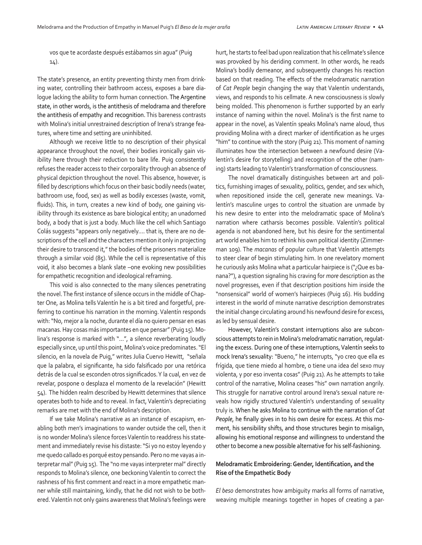vos que te acordaste después estábamos sin agua" (Puig 14).

The state's presence, an entity preventing thirsty men from drinking water, controlling their bathroom access, exposes a bare dialogue lacking the ability to form human connection. The Argentine state, in other words, is the antithesis of melodrama and therefore the antithesis of empathy and recognition. This bareness contrasts with Molina's initial unrestrained description of Irena's strange features, where time and setting are uninhibited.

Although we receive little to no description of their physical appearance throughout the novel, their bodies ironically gain visibility here through their reduction to bare life. Puig consistently refuses the reader access to their corporality through an absence of physical depiction throughout the novel. This absence, however, is filled by descriptions which focus on their basic bodily needs (water, bathroom use, food, sex) as well as bodily excesses (waste, vomit, fluids). This, in turn, creates a new kind of body, one gaining visibility through its existence as bare biological entity; an unadorned body, a body that is just a body. Much like the cell which Santiago Colás suggests "appears only negatively…. that is, there are no descriptions of the cell and the characters mention it only in projecting their desire to transcend it," the bodies of the prisoners materialize through a similar void (85). While the cell is representative of this void, it also becomes a blank slate –one evoking new possibilities for empathetic recognition and ideological reframing.

This void is also connected to the many silences penetrating the novel. The first instance of silence occurs in the middle of Chapter One, as Molina tells Valentín he is a bit tired and forgetful, preferring to continue his narration in the morning. Valentín responds with: "No, mejor a la noche, durante el día no quiero pensar en esas macanas. Hay cosas más importantes en que pensar" (Puig 15). Molina's response is marked with "…", a silence reverberating loudly especially since, up until this point, Molina's voice predominates. "El silencio, en la novela de Puig," writes Julia Cuervo Hewitt, "señala que la palabra, el significante, ha sido falsificado por una retórica detrás de la cual se esconden otros significados. Y la cual, en vez de revelar, pospone o desplaza el momento de la revelación" (Hewitt 54). The hidden realm described by Hewitt determines that silence operates both to hide and to reveal. In fact, Valentín's depreciating remarks are met with the end of Molina's description.

If we take Molina's narrative as an instance of escapism, enabling both men's imaginations to wander outside the cell, then it is no wonder Molina's silence forces Valentín to readdress his statement and immediately revise his distaste: "Si yo no estoy leyendo y me quedo callado es porqué estoy pensando. Pero no me vayas a interpretar mal" (Puig 15). The "no me vayas interpreter mal" directly responds to Molina's silence, one beckoning Valentín to correct the rashness of his first comment and react in a more empathetic manner while still maintaining, kindly, that he did not wish to be bothered. Valentín not only gains awareness that Molina's feelings were

hurt, he starts to feel bad upon realization that his cellmate's silence was provoked by his deriding comment. In other words, he reads Molina's bodily demeanor, and subsequently changes his reaction based on that reading. The effects of the melodramatic narration of *Cat People* begin changing the way that Valentín understands, views, and responds to his cellmate. A new consciousness is slowly being molded. This phenomenon is further supported by an early instance of naming within the novel. Molina's is the first name to appear in the novel, as Valentín speaks Molina's name aloud, thus providing Molina with a direct marker of identification as he urges "him" to continue with the story (Puig 21). This moment of naming illuminates how the intersection between a newfound desire (Valentín's desire for storytelling) and recognition of the other (naming) starts leading to Valentín's transformation of consciousness.

The novel dramatically distinguishes between art and politics, furnishing images of sexuality, politics, gender, and sex which, when repositioned inside the cell, generate new meanings. Valentín's masculine urges to control the situation are unmade by his new desire to enter into the melodramatic space of Molina's narration where catharsis becomes possible. Valentín's political agenda is not abandoned here, but his desire for the sentimental art world enables him to rethink his own political identity (Zimmerman 109). The *macanas* of popular culture that Valentín attempts to steer clear of begin stimulating him. In one revelatory moment he curiously asks Molina what a particular hairpiece is ("¿Que es banana?"), a question signaling his craving for *more* description as the novel progresses, even if that description positions him inside the "nonsensical" world of women's hairpieces (Puig 16). His budding interest in the world of minute narrative description demonstrates the initial change circulating around his newfound desire for excess, as led by sensual desire.

However, Valentín's constant interruptions also are subconscious attempts to rein in Molina's melodramatic narration, regulating the excess. During one of these interruptions, Valentín seeks to mock Irena's sexuality: "Bueno," he interrupts, "yo creo que ella es frígida, que tiene miedo al hombre, o tiene una idea del sexo muy violenta, y por eso inventa cosas" (Puig 21). As he attempts to take control of the narrative, Molina ceases "his" own narration angrily. This struggle for narrative control around Irena's sexual nature reveals how rigidly structured Valentín's understanding of sexuality truly is. When he asks Molina to continue with the narration of *Cat People*, he finally gives in to his own desire for excess. At this moment, his sensibility shifts, and those structures begin to misalign, allowing his emotional response and willingness to understand the other to become a new possible alternative for his self-fashioning.

# **Melodramatic Embroidering: Gender, Identification, and the Rise of the Empathetic Body**

*El beso* demonstrates how ambiguity marks all forms of narrative, weaving multiple meanings together in hopes of creating a par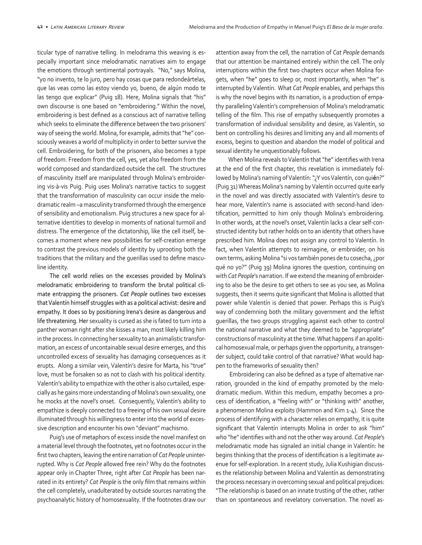ticular type of narrative telling. In melodrama this weaving is especially important since melodramatic narratives aim to engage the emotions through sentimental portrayals. "No," says Molina, "yo no invento, te lo juro, pero hay cosas que para redondeártelas, que las veas como las estoy viendo yo, bueno, de algún modo te las tengo que explicar" (Puig 18). Here, Molina signals that "his" own discourse is one based on "embroidering." Within the novel, embroidering is best defined as a conscious act of narrative telling which seeks to eliminate the difference between the two prisoners' way of seeing the world. Molina, for example, admits that "he" consciously weaves a world of multiplicity in order to better survive the cell. Embroidering, for both of the prisoners, also becomes a type of freedom. Freedom from the cell, yes, yet also freedom from the world composed and standardized outside the cell. The structures of masculinity itself are manipulated through Molina's embroidering vis-à-vis Puig. Puig uses Molina's narrative tactics to suggest that the transformation of masculinity can occur inside the melodramatic realm –a masculinity transformed through the emergence of sensibility and emotionalism. Puig structures a new space for alternative identities to develop in moments of national turmoil and distress. The emergence of the dictatorship, like the cell itself, becomes a moment where new possibilities for self-creation emerge to contrast the previous models of identity by uprooting both the traditions that the military and the guerillas used to define masculine identity.

The cell world relies on the excesses provided by Molina's melodramatic embroidering to transform the brutal political climate entrapping the prisoners. *Cat People* outlines two excesses that Valentín himself struggles with as a political activist: desire and empathy. It does so by positioning Irena's desire as dangerous and life threatening. Her sexuality is cursed as she is fated to turn into a panther woman right after she kisses a man, most likely killing him in the process. In connecting her sexuality to an animalistic transformation, an excess of uncontainable sexual desire emerges, and this uncontrolled excess of sexuality has damaging consequences as it erupts. Along a similar vein, Valentín's desire for Marta, his "true" love, must be forsaken so as not to clash with his political identity. Valentín's ability to empathize with the other is also curtailed, especially as he gains more understanding of Molina's own sexuality, one he mocks at the novel's onset. Consequently, Valentín's ability to empathize is deeply connected to a freeing of his own sexual desire illuminated through his willingness to enter into the world of excessive description and encounter his own "deviant" machismo.

Puig's use of metaphors of excess inside the novel manifest on a material level through the footnotes, yet no footnotes occur in the first two chapters, leaving the entire narration of *Cat People* uninterrupted. Why is *Cat People* allowed free rein? Why do the footnotes appear only in Chapter Three, right after *Cat People* has been narrated in its entirety? *Cat People* is the only film that remains within the cell completely, unadulterated by outside sources narrating the psychoanalytic history of homosexuality. If the footnotes draw our

attention away from the cell, the narration of *Cat People* demands that our attention be maintained entirely within the cell. The only interruptions within the first two chapters occur when Molina forgets, when "he" goes to sleep or, most importantly, when "he" is interrupted by Valentín. What *Cat People* enables, and perhaps this is why the novel begins with its narration, is a production of empathy paralleling Valentín's comprehension of Molina's melodramatic telling of the film. This rise of empathy subsequently promotes a transformation of individual sensibility and desire, as Valentín, so bent on controlling his desires and limiting any and all moments of excess, begins to question and abandon the model of political and sexual identity he unquestionably follows.

When Molina reveals to Valentín that "he" identifies with Irena at the end of the first chapter, this revelation is immediately followed by Molina's naming of Valentín: "¿Y vos Valentín, con qui**é**n?" (Puig 31) Whereas Molina's naming by Valentín occurred quite early in the novel and was directly associated with Valentín's desire to hear more, Valentín's name is associated with second-hand identification, permitted to him only though Molina's embroidering. In other words, at the novel's onset, Valentín lacks a clear self-constructed identity but rather holds on to an identity that others have prescribed him. Molina does not assign any control to Valentín. In fact, when Valentín attempts to reimagine, or embroider, on his own terms, asking Molina "si vos también pones de tu cosecha, ¿por qué no yo?" (Puig 39) Molina ignores the question, continuing on with *Cat People*'s narration. If we extend the meaning of embroidering to also be the desire to get others to see as you see, as Molina suggests, then it seems quite significant that Molina is allotted that power while Valentín is denied that power. Perhaps this is Puig's way of condemning both the military government and the leftist guerillas, the two groups struggling against each other to control the national narrative and what they deemed to be "appropriate" constructions of masculinity at the time. What happens if an apolitical homosexual male, or perhaps given the opportunity, a transgender subject, could take control of that narrative? What would happen to the frameworks of sexuality then?

 Embroidering can also be defined as a type of alternative narration, grounded in the kind of empathy promoted by the melodramatic medium. Within this medium, empathy becomes a process of identification, a "feeling with" or "thinking with" another, a phenomenon Molina exploits (Hammon and Kim 1-4). Since the process of identifying with a character relies on empathy, it is quite significant that Valentín interrupts Molina in order to ask "him" who "he" identifies with and not the other way around. *Cat People*'s melodramatic mode has signaled an initial change in Valentín: he begins thinking that the process of identification is a legitimate avenue for self-exploration. In a recent study, Julia Kushigian discusses the relationship between Molina and Valentín as demonstrating the process necessary in overcoming sexual and political prejudices: "The relationship is based on an innate trusting of the other, rather than on spontaneous and revelatory conversation. The novel as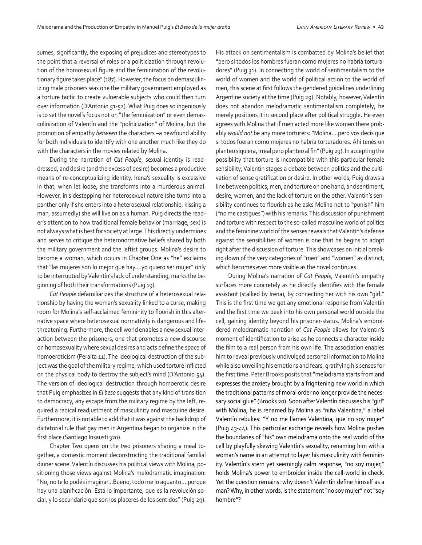sumes, significantly, the exposing of prejudices and stereotypes to the point that a reversal of roles or a politicization through revolution of the homosexual figure and the feminization of the revolutionary figure takes place" (187). However, the focus on demasculinizing male prisoners was one the military government employed as a torture tactic to create vulnerable subjects who could then turn over information (D'Antonio 51-52). What Puig does so ingeniously is to set the novel's focus not on "the feminization" or even demasculinization of Valentín and the "politicization" of Molina, but the promotion of empathy *between* the characters –a newfound ability for both individuals to identify with one another much like they do with the characters in the movies related by Molina.

During the narration of *Cat People*, sexual identity is readdressed, and desire (and the excess of desire) becomes a productive means of re-conceptualizing identity. Irena's sexuality is excessive in that, when let loose, she transforms into a murderous animal. However, in sidestepping her heterosexual nature (she turns into a panther only if she enters into a heterosexual relationship, kissing a man, assumedly) she will live on as a human. Puig directs the reader's attention to how traditional female behavior (marriage, sex) is not always what is best for society at large. This directly undermines and serves to critique the heteronormative beliefs shared by both the military government and the leftist groups. Molina's desire to become a woman, which occurs in Chapter One as "he" exclaims that "las mujeres son lo mejor que hay….yo quiero ser mujer" only to be interrupted by Valentín's lack of understanding, marks the beginning of both their transformations (Puig 19).

*Cat People* defamiliarizes the structure of a heterosexual relationship by having the woman's sexuality linked to a curse, making room for Molina's self-acclaimed femininity to flourish in this alternative space where heterosexual normativity is dangerous and lifethreatening. Furthermore, the cell world enables a new sexual interaction between the prisoners, one that promotes a new discourse on homosexuality where sexual desires and acts define the space of homoeroticism (Peralta 11). The ideological destruction of the subject was the goal of the military regime, which used torture inflicted on the physical body to destroy the subject's mind (D'Antonio 54). The version of ideological destruction through homoerotic desire that Puig emphasizes in *El beso* suggests that any kind of transition to democracy, any escape from the military regime by the left, required a radical readjustment of masculinity and masculine desire. Furthermore, it is notable to add that it was against the backdrop of dictatorial rule that gay men in Argentina began to organize in the first place (Santiago Insausti 320).

Chapter Two opens on the two prisoners sharing a meal together, a domestic moment deconstructing the traditional familial dinner scene. Valentín discusses his political views with Molina, positioning those views against Molina's melodramatic imagination: "No, no te lo podés imaginar…Bueno, todo me lo aguanto….porque hay una planificación. Está lo importante, que es la revolución social, y lo secundario que son los placeres de los sentidos" (Puig 29).

His attack on sentimentalism is combatted by Molina's belief that "pero si todos los hombres fueran como mujeres no habría torturadores" (Puig 31). In connecting the world of sentimentalism to the world of women and the world of political action to the world of men, this scene at first follows the gendered guidelines underlining Argentine society at the time (Puig 29). Notably, however, Valentín does not abandon melodramatic sentimentalism completely; he merely positions it in second place after political struggle. He even agrees with Molina that if men acted more like women there probably *would not* be any more torturers: "Molina….pero vos decís que si todos fueran como mujeres no habría torturadores. Ahí tenés un planteo siquiera, irreal pero planteo al fin" (Puig 29). In accepting the possibility that torture is incompatible with this particular female sensibility, Valentín stages a debate between politics and the cultivation of sense gratification or desire. In other words, Puig draws a line between politics, men, and torture on one hand, and sentiment, desire, women, and the lack of torture on the other. Valentín's sensibility continues to flourish as he asks Molina not to "punish" him ("no me castigues") with his remarks. This discussion of punishment and torture with respect to the so-called masculine world of politics and the feminine world of the senses reveals that Valentín's defense against the sensibilities of women is one that he begins to adopt right after the discussion of torture. This showcases an initial breaking down of the very categories of "men" and "women" as distinct, which becomes ever more visible as the novel continues.

During Molina's narration of *Cat People*, Valentín's empathy surfaces more concretely as he directly identifies with the female assistant (stalked by Irena), by connecting her with his own "girl." This is the first time we get any emotional response from Valentín and the first time we peek into his own personal world outside the cell, gaining identity beyond his prisoner-status. Molina's embroidered melodramatic narration of *Cat People* allows for Valentín's moment of identification to arise as he connects a character inside the film to a real person from his own life. The association enables him to reveal previously undivulged personal information to Molina while also unveiling his emotions and fears, gratifying his senses for the first time. Peter Brooks posits that "melodrama starts from and expresses the anxiety brought by a frightening new world in which the traditional patterns of moral order no longer provide the necessary social glue" (Brooks 20). Soon after Valentín discusses his "girl" with Molina, he is renamed by Molina as "ni**ñ**a Valentina," a label Valentín rebukes: "Y no me llames Valentina, que no soy mujer" (Puig 43-44). This particular exchange reveals how Molina pushes the boundaries of "his" own melodrama onto the real world of the cell by playfully skewing Valentín's sexuality, renaming him with a woman's name in an attempt to layer his masculinity with femininity. Valentín's stern yet seemingly calm response, "no soy mujer," holds Molina's power to embroider inside the cell-world in check. Yet the question remains: why doesn't Valent**í**n define himself as a man? Why, in other words, is the statement "no soy mujer" not "soy hombre"?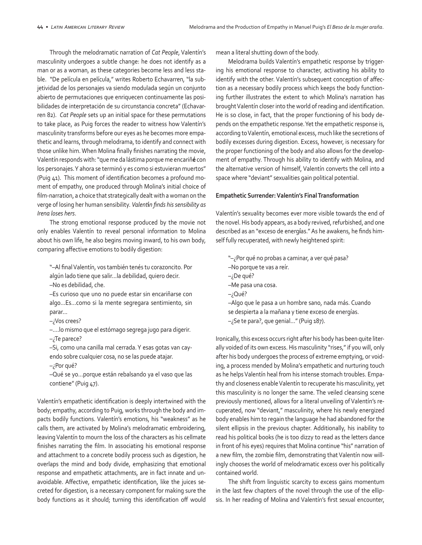Through the melodramatic narration of *Cat People*, Valentín's masculinity undergoes a subtle change: he does not identify as a man or as a woman, as these categories become less and less stable. "De película en película," writes Roberto Echavarren, "la subjetividad de los personajes va siendo modulada según un conjunto abierto de permutaciones que enriquecen continuamente las posibilidades de interpretación de su circunstancia concreta" (Echavarren 82). *Cat People* sets up an initial space for these permutations to take place, as Puig forces the reader to witness how Valentín's masculinity transforms before our eyes as he becomes more empathetic and learns, through melodrama, to identify and connect with those unlike him. When Molina finally finishes narrating the movie, Valentín responds with: "que me da lástima porque me encariñ**é** con los personajes. Y ahora se terminó y es como si estuvieran muertos" (Puig 41). This moment of identification becomes a profound moment of empathy, one produced through Molina's initial choice of film-narration, a choice that strategically dealt with a woman on the verge of losing her human sensibility. *Valent***í***n finds his sensibility as Irena loses hers*.

The strong emotional response produced by the movie not only enables Valentín to reveal personal information to Molina about his own life, he also begins moving inward, to his own body, comparing affective emotions to bodily digestion:

"–Al final Valentín, vos también tenés tu corazoncito. Por algún lado tiene que salir…la debilidad, quiero decir. –No es debilidad, che.

–Es curioso que uno no puede estar sin encariñarse con algo…Es…como si la mente segregara sentimiento, sin parar…

–¿Vos crees?

–….lo mismo que el estómago segrega jugo para digerir. –¿Te parece?

–Si, como una canilla mal cerrada. Y esas gotas van cayendo sobre cualquier cosa, no se las puede atajar.

–¿Por qué?

–Qué se yo…porque están rebalsando ya el vaso que las contiene" (Puig 47).

Valentín's empathetic identification is deeply intertwined with the body; empathy, according to Puig, works through the body and impacts bodily functions. Valentín's emotions, his "weakness" as he calls them, are activated by Molina's melodramatic embroidering, leaving Valentín to mourn the loss of the characters as his cellmate finishes narrating the film. In associating his emotional response and attachment to a concrete bodily process such as digestion, he overlaps the mind and body divide, emphasizing that emotional response and empathetic attachments, are in fact innate and unavoidable. Affective, empathetic identification, like the juices secreted for digestion, is a necessary component for making sure the body functions as it should; turning this identification off would

mean a literal shutting down of the body.

Melodrama builds Valentín's empathetic response by triggering his emotional response to character, activating his ability to identify with the other. Valentín's subsequent conception of affection as a necessary bodily process which keeps the body functioning further illustrates the extent to which Molina's narration has brought Valentín closer into the world of reading and identification. He is so close, in fact, that the proper functioning of his body depends on the empathetic response. Yet the empathetic response is, according to Valentín, emotional excess, much like the secretions of bodily excesses during digestion. Excess, however, is necessary for the proper functioning of the body and also allows for the development of empathy. Through his ability to identify with Molina, and the alternative version of himself, Valentín converts the cell into a space where "deviant" sexualities gain political potential.

## **Empathetic Surrender: Valentín's Final Transformation**

Valentín's sexuality becomes ever more visible towards the end of the novel. His body appears, as a body revived, refurbished, and one described as an "exceso de energ**í**as." As he awakens, he finds himself fully recuperated, with newly heightened spirit:

- "–¿Por qué no probas a caminar, a ver qué pasa?
- –No porque te vas a reír.
- –¿De qué?
- –Me pasa una cosa.
- –¿Qué?
- –Algo que le pasa a un hombre sano, nada más. Cuando se despierta a la mañana y tiene exceso de energías. –¿Se te para?, que genial…" (Puig 187).
- 

Ironically, this excess occurs right after his body has been quite literally voided of its own excess. His masculinity "rises," if you will, only after his body undergoes the process of extreme emptying, or voiding, a process mended by Molina's empathetic and nurturing touch as he helps Valentín heal from his intense stomach troubles. Empathy and closeness enable Valentín to recuperate his masculinity, yet this masculinity is no longer the same. The veiled cleansing scene previously mentioned, allows for a literal unveiling of Valentín's recuperated, now "deviant," masculinity, where his newly energized body enables him to regain the language he had abandoned for the silent ellipsis in the previous chapter. Additionally, his inability to read his political books (he is too dizzy to read as the letters dance in front of his eyes) requires that Molina continue "his" narration of a new film, the zombie film, demonstrating that Valentín now willingly chooses the world of melodramatic excess over his politically contained world.

The shift from linguistic scarcity to excess gains momentum in the last few chapters of the novel through the use of the ellipsis. In her reading of Molina and Valentín's first sexual encounter,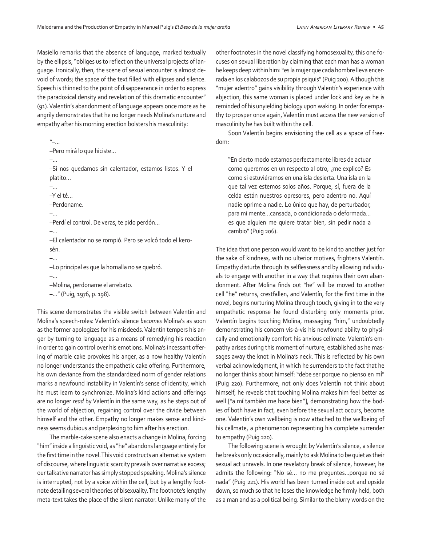Masiello remarks that the absence of language, marked textually by the ellipsis, "obliges us to reflect on the universal projects of language. Ironically, then, the scene of sexual encounter is almost devoid of words; the space of the text filled with ellipses and silence. Speech is thinned to the point of disappearance in order to express the paradoxical density and revelation of this dramatic encounter" (91). Valentín's abandonment of language appears once more as he angrily demonstrates that he no longer needs Molina's nurture and empathy after his morning erection bolsters his masculinity:

"–… –Pero mirá lo que hiciste… –… –Si nos quedamos sin calentador, estamos listos. Y el platito… –… –Y el té… –Perdoname. –… –Perdí el control. De veras, te pido perdón… –… –El calentador no se rompió. Pero se volcó todo el kerosén. –… –Lo principal es que la hornalla no se quebró. –… –Molina, perdoname el arrebato.

–…" (Puig, 1976, p. 198).

This scene demonstrates the visible switch between Valentín and Molina's speech-roles: Valentín's silence *becomes* Molina's as soon as the former apologizes for his misdeeds. Valentín tempers his anger by turning to language as a means of remedying his reaction in order to gain control over his emotions. Molina's incessant offering of marble cake provokes his anger, as a now healthy Valentín no longer understands the empathetic cake offering. Furthermore, his own deviance from the standardized norm of gender relations marks a newfound instability in Valentín's sense of identity, which he must learn to synchronize. Molina's kind actions and offerings are no longer *read* by Valentín in the same way, as he steps out of the world of abjection, regaining control over the divide between himself and the other. Empathy no longer makes sense and kindness seems dubious and perplexing to him after his erection.

The marble-cake scene also enacts a change in Molina, forcing "him" inside a linguistic void, as "he" abandons language entirely for the first time in the novel. This void constructs an alternative system of discourse, where linguistic scarcity prevails over narrative excess; our talkative narrator has simply stopped speaking. Molina's silence is interrupted, not by a voice within the cell, but by a lengthy footnote detailing several theories of bisexuality. The footnote's lengthy meta-text takes the place of the silent narrator. Unlike many of the

other footnotes in the novel classifying homosexuality, this one focuses on sexual liberation by claiming that each man has a woman he keeps deep within him: "es la mujer que cada hombre lleva encerrada en los calabozos de su propia psiquis" (Puig 200). Although this "mujer adentro" gains visibility through Valentín's experience with abjection, this same woman is placed under lock and key as he is reminded of his unyielding biology upon waking. In order for empathy to prosper once again, Valentín must access the new version of masculinity he has built within the cell.

Soon Valentín begins envisioning the cell as a space of freedom:

"En cierto modo estamos perfectamente libres de actuar como queremos en un respecto al otro, ¿me explico? Es como si estuviéramos en una isla desierta. Una isla en la que tal vez estemos solos años. Porque, sí, fuera de la celda están nuestros opresores, pero adentro no. Aquí nadie oprime a nadie. Lo único que hay, de perturbador, para mi mente…cansada, o condicionada o deformada… es que alguien me quiere tratar bien, sin pedir nada a cambio" (Puig 206).

The idea that one person would want to be kind to another just for the sake of kindness, with no ulterior motives, frightens Valentín. Empathy disturbs through its selflessness and by allowing individuals to engage with another in a way that requires their own abandonment. After Molina finds out "he" will be moved to another cell "he" returns, crestfallen, and Valentín, for the first time in the novel, begins nurturing Molina through touch, giving in to the very empathetic response he found disturbing only moments prior. Valentín begins touching Molina, massaging "him," undoubtedly demonstrating his concern vis-à-vis his newfound ability to physically and emotionally comfort his anxious cellmate. Valentín's empathy arises during this moment of nurture, established as he massages away the knot in Molina's neck. This is reflected by his own verbal acknowledgment, in which he surrenders to the fact that he no longer thinks about himself: "debe ser porque no pienso en m**í**" (Puig 220). Furthermore, not only does Valentín not think about himself, he reveals that touching Molina makes him feel better as well ["a m**í** también me hace bien"], demonstrating how the bodies of both have in fact, even before the sexual act occurs, become one. Valentín's own wellbeing is now attached to the wellbeing of his cellmate, a phenomenon representing his complete surrender to empathy (Puig 220).

The following scene is wrought by Valentín's silence, a silence he breaks only occasionally, mainly to ask Molina to be quiet as their sexual act unravels. In one revelatory break of silence, however, he admits the following: "No sé… no me preguntes…porque no sé nada" (Puig 221). His world has been turned inside out and upside down, so much so that he loses the knowledge he firmly held, both as a man and as a political being. Similar to the blurry words on the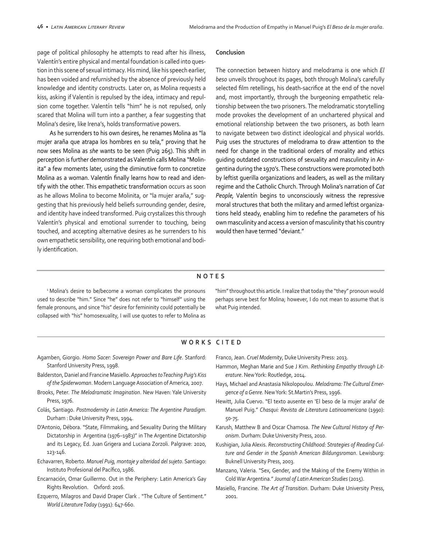page of political philosophy he attempts to read after his illness, Valentín's entire physical and mental foundation is called into question in this scene of sexual intimacy. His mind, like his speech earlier, has been voided and refurnished by the absence of previously held knowledge and identity constructs. Later on, as Molina requests a kiss, asking if Valentín is repulsed by the idea, intimacy and repulsion come together. Valentín tells "him" he is not repulsed, only scared that Molina will turn into a panther, a fear suggesting that Molina's desire, like Irena's, holds transformative powers.

As he surrenders to his own desires, he renames Molina as "la mujer araña que atrapa los hombres en su tela," proving that he now sees Molina as *she* wants to be seen (Puig 265). This shift in perception is further demonstrated as Valent**í**n calls Molina "Molinita" a few moments later, using the diminutive form to concretize Molina as a woman. Valent**í**n finally learns how to read and identify with the other. This empathetic transformation occurs as soon as he allows Molina to become Molinita, or "la mujer araña," suggesting that his previously held beliefs surrounding gender, desire, and identity have indeed transformed. Puig crystalizes this through Valentín's physical and emotional surrender to touching, being touched, and accepting alternative desires as he surrenders to his own empathetic sensibility, one requiring both emotional and bodily identification.

#### **Conclusion**

The connection between history and melodrama is one which *El beso* unveils throughout its pages, both through Molina's carefully selected film retellings, his death-sacrifice at the end of the novel and, most importantly, through the burgeoning empathetic relationship between the two prisoners. The melodramatic storytelling mode provokes the development of an unchartered physical and emotional relationship between the two prisoners, as both learn to navigate between two distinct ideological and physical worlds. Puig uses the structures of melodrama to draw attention to the need for change in the traditional orders of morality and ethics guiding outdated constructions of sexuality and masculinity in Argentina during the 1970's. These constructions were promoted both by leftist guerilla organizations and leaders, as well as the military regime and the Catholic Church. Through Molina's narration of *Cat People,* Valentín begins to unconsciously witness the repressive moral structures that both the military and armed leftist organizations held steady, enabling him to redefine the parameters of his own masculinity and access a version of masculinity that his country would then have termed "deviant."

#### **NOTES**

<sup>1</sup> Molina's desire to be/become a woman complicates the pronouns used to describe "him." Since "he" does not refer to "himself" using the female pronouns, and since "his" desire for femininity could potentially be collapsed with "his" homosexuality, I will use quotes to refer to Molina as "him" throughout this article. I realize that today the "they" pronoun would perhaps serve best for Molina; however, I do not mean to assume that is what Puig intended.

## **WORKS CITED**

- Agamben, Giorgio. *Homo Sacer: Sovereign Power and Bare Life*. Stanford: Stanford University Press, 1998.
- Balderston, Daniel and Francine Masiello. *Approaches to Teaching Puig's Kiss of the Spiderwoman*. Modern Language Association of America, 2007.
- Brooks, Peter. *The Melodramatic Imagination*. New Haven: Yale University Press, 1976.
- Colás, Santiago. *Postmodernity in Latin America: The Argentine Paradigm*. Durham : Duke University Press, 1994.
- D'Antonio, Débora. "State, Filmmaking, and Sexuality During the Military Dictatorship in Argentina (1976–1983)" in The Argentine Dictatorship and its Legacy, Ed. Juan Grigera and Luciana Zorzoli. Palgrave: 2020, 123-146.
- Echavarren, Roberto. *Manuel Puig, montaje y alteridad del sujeto*. Santiago: Instituto Profesional del Pacífico, 1986.
- Encarnación, Omar Guillermo. Out in the Periphery: Latin America's Gay Rights Revolution. Oxford: 2016.
- Ezquerro, Milagros and David Draper Clark . "The Culture of Sentiment." *World Literature Today* (1991): 647-660.

Franco, Jean. *Cruel Modernity*, Duke University Press: 2013.

- Hammon, Meghan Marie and Sue J Kim. *Rethinking Empathy through Literature*. New York: Routledge, 2014.
- Hays, Michael and Anastasia Nikolopoulou. *Melodrama: The Cultural Emergence of a Genre*. New York: St.Martin's Press, 1996.
- Hewitt, Julia Cuervo. "El texto ausente en 'El beso de la mujer araña' de Manuel Puig." *Chasqui: Revista de Literatura Latinoamericana* (1990): 50-75.
- Karush, Matthew B and Oscar Chamosa. *The New Cultural History of Peronism*. Durham: Duke University Press, 2010.
- Kushigian, Julia Alexis. *Reconstructing Childhood: Strategies of Reading Culture and Gender in the Spanish American Bildungsroman*. Lewisburg: Buknell University Press, 2003.
- Manzano, Valeria. "Sex, Gender, and the Making of the Enemy Within in Cold War Argentina." *Journal of Latin American Studies* (2015).
- Masiello, Francine. *The Art of Transition*. Durham: Duke University Press, 2001.